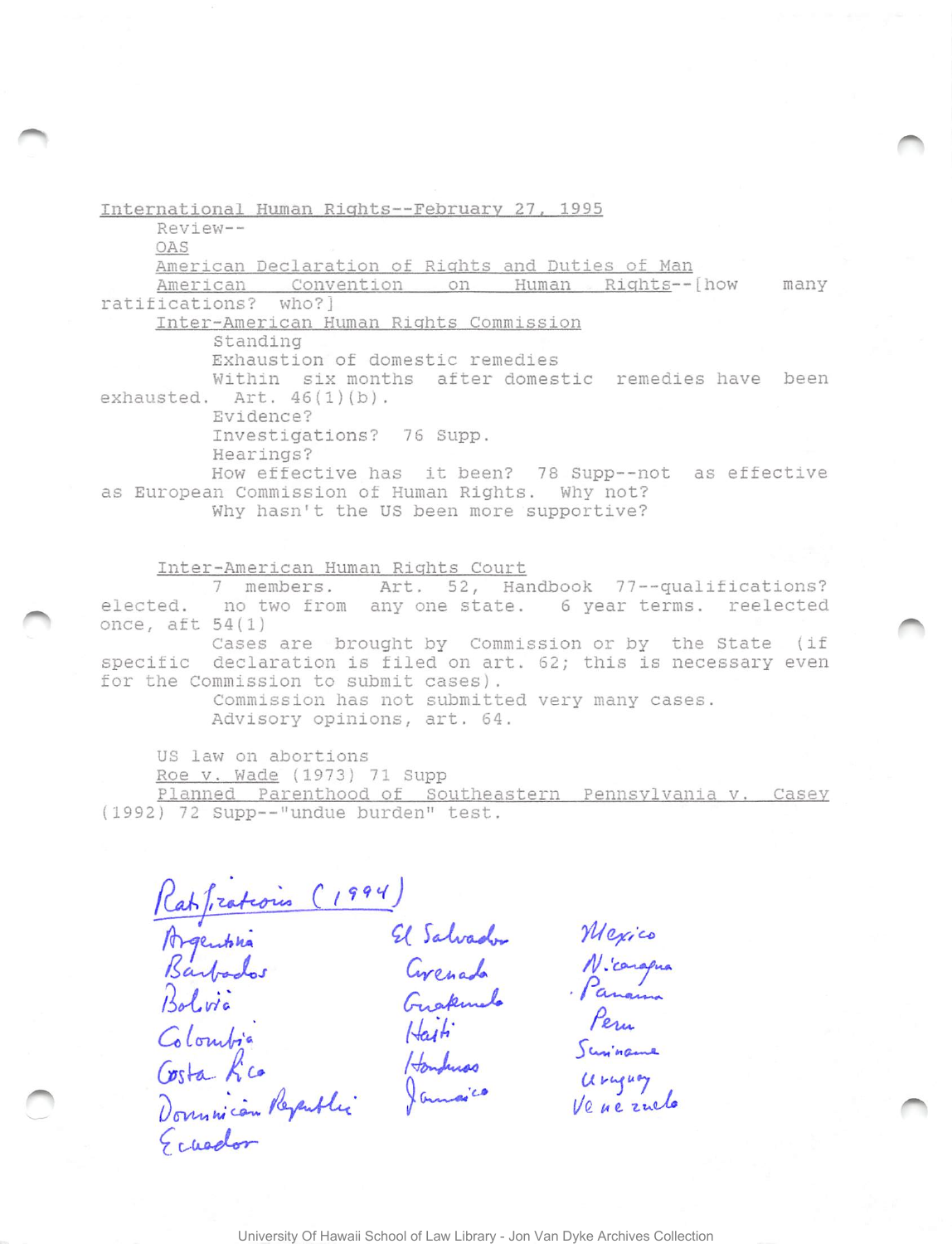International Human Rights--February 27, 1995 Review--OAS American Declaration of Rights and Duties of Man American Convention on Human Rights--[how many ratifications? who?] Inter-American Human Rights Commission Standing Exhaustion of domestic remedies Within six months after domestic remedies have been exhausted. Art.  $46(1)(b)$ . Evidence? Investigations? 76 Supp. Hearings? How effective has it been? 78 Supp--not as effective as European Commission of Human Rights. Why not? Why hasn't the US been more supportive?

Inter-American Human Rights Court 7 members. Art. 52, Handbook 77--qualifications? elected. no two from any one state. 6 year terms. reelected once, aft  $54(1)$ Cases are brought by Commission or by the State (if specific declaration is filed on art. 62; this is necessary even for the Commission to submit cases). Commission has not submitted very many cases. Advisory opinions, art. 64.

US law on abortions

Roe v. Wade (1973) 71 Supp Planned Parenthood of Southeastern Pennsylvania v. Casey (1992) 72 Supp--"undue burden" test.

Ratfrationis (1994)<br>Barbados Grenado Nicargua<br>Bolvia Grenado Nicargua<br>Bolvia Grenado Panama<br>Colombia Haiti Permeter Constantino Haiti Permeter<br>Osta Lico Hombuss Uruguay<br>Dovumicon Republic Jamesico Uruguay<br>Constitui Jamesic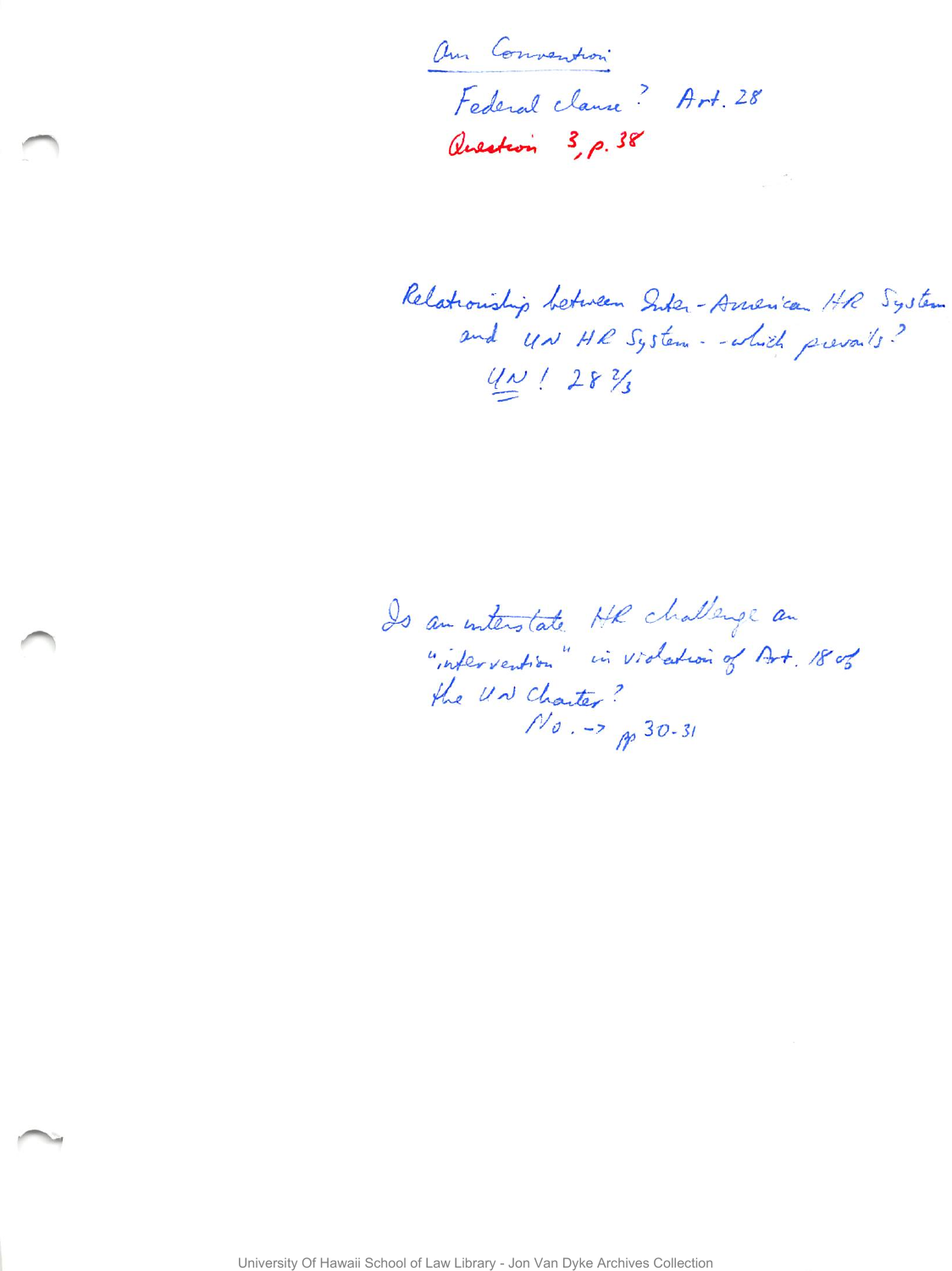am Convention Federal clanse? Art. 28 Question 3, p. 38

Relationship between Suber-American HR System and UN HR System - which prevails?  $4N/28\%$ 

Is an interstate HR challenge an "infervention" in violation of Art. 180% the UN Charter?  $N_{0}$  -> p 30-31